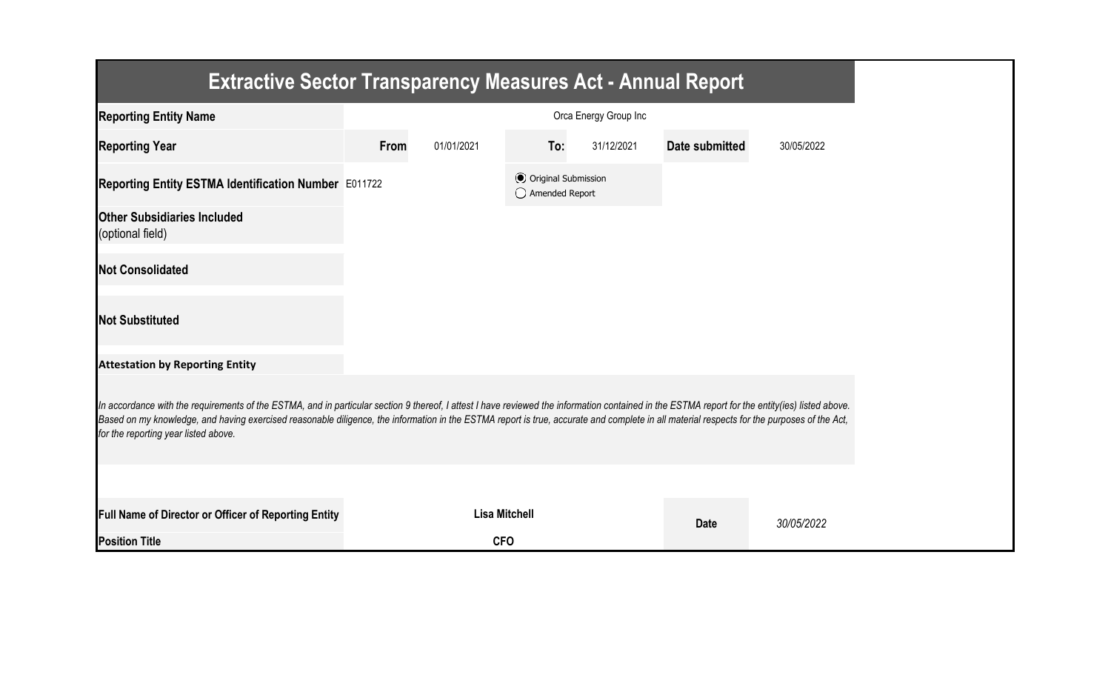| <b>Extractive Sector Transparency Measures Act - Annual Report</b>                                                                                                                                                                                                                                                                                                                                                                    |      |                      |                                                  |                       |                |            |
|---------------------------------------------------------------------------------------------------------------------------------------------------------------------------------------------------------------------------------------------------------------------------------------------------------------------------------------------------------------------------------------------------------------------------------------|------|----------------------|--------------------------------------------------|-----------------------|----------------|------------|
| <b>Reporting Entity Name</b>                                                                                                                                                                                                                                                                                                                                                                                                          |      |                      |                                                  | Orca Energy Group Inc |                |            |
| <b>Reporting Year</b>                                                                                                                                                                                                                                                                                                                                                                                                                 | From | 01/01/2021           | To:                                              | 31/12/2021            | Date submitted | 30/05/2022 |
| Reporting Entity ESTMA Identification Number E011722                                                                                                                                                                                                                                                                                                                                                                                  |      |                      | <b>⊙</b> Original Submission<br>◯ Amended Report |                       |                |            |
| <b>Other Subsidiaries Included</b><br>(optional field)                                                                                                                                                                                                                                                                                                                                                                                |      |                      |                                                  |                       |                |            |
| <b>Not Consolidated</b>                                                                                                                                                                                                                                                                                                                                                                                                               |      |                      |                                                  |                       |                |            |
| <b>Not Substituted</b>                                                                                                                                                                                                                                                                                                                                                                                                                |      |                      |                                                  |                       |                |            |
| <b>Attestation by Reporting Entity</b>                                                                                                                                                                                                                                                                                                                                                                                                |      |                      |                                                  |                       |                |            |
| In accordance with the requirements of the ESTMA, and in particular section 9 thereof, I attest I have reviewed the information contained in the ESTMA report for the entity(ies) listed above.<br>Based on my knowledge, and having exercised reasonable diligence, the information in the ESTMA report is true, accurate and complete in all material respects for the purposes of the Act,<br>for the reporting year listed above. |      |                      |                                                  |                       |                |            |
|                                                                                                                                                                                                                                                                                                                                                                                                                                       |      |                      |                                                  |                       |                |            |
| <b>Full Name of Director or Officer of Reporting Entity</b>                                                                                                                                                                                                                                                                                                                                                                           |      | <b>Lisa Mitchell</b> |                                                  |                       | <b>Date</b>    | 30/05/2022 |
| <b>Position Title</b>                                                                                                                                                                                                                                                                                                                                                                                                                 |      | <b>CFO</b>           |                                                  |                       |                |            |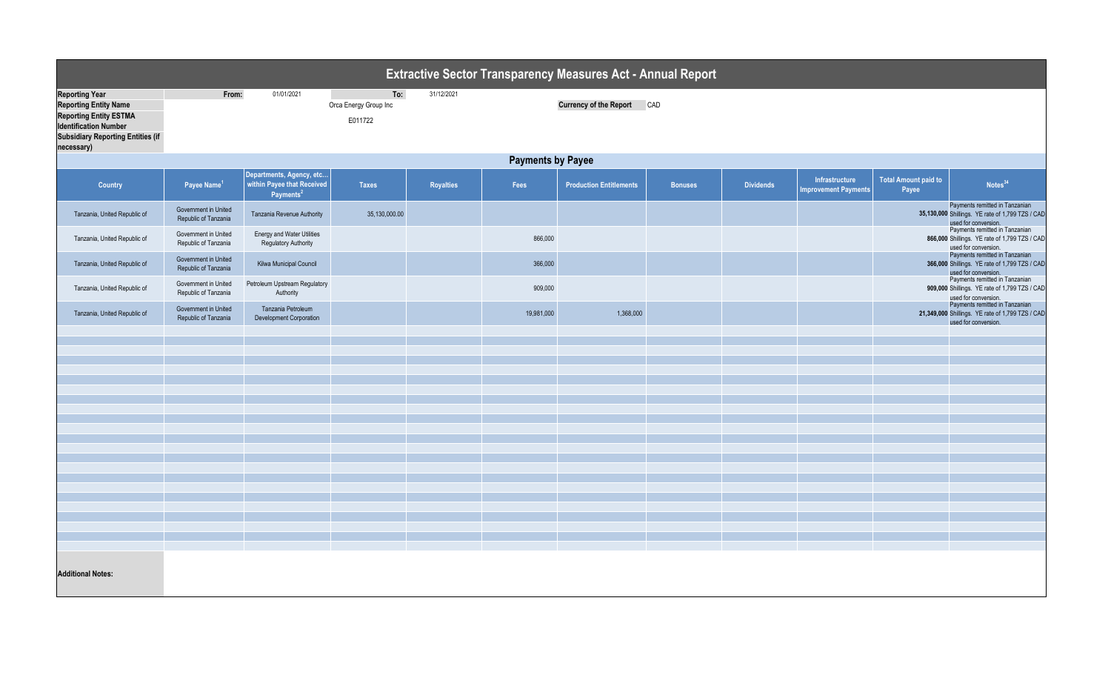| <b>Extractive Sector Transparency Measures Act - Annual Report</b>                                                                                                               |                                              |                                                                                 |                                         |            |            |                                |                |                  |                                               |                                      |                                                                                                            |
|----------------------------------------------------------------------------------------------------------------------------------------------------------------------------------|----------------------------------------------|---------------------------------------------------------------------------------|-----------------------------------------|------------|------------|--------------------------------|----------------|------------------|-----------------------------------------------|--------------------------------------|------------------------------------------------------------------------------------------------------------|
| <b>Reporting Year</b><br><b>Reporting Entity Name</b><br><b>Reporting Entity ESTMA</b><br><b>Identification Number</b><br><b>Subsidiary Reporting Entities (if</b><br>necessary) | From:                                        | 01/01/2021                                                                      | To:<br>Orca Energy Group Inc<br>E011722 | 31/12/2021 |            | Currency of the Report CAD     |                |                  |                                               |                                      |                                                                                                            |
|                                                                                                                                                                                  | <b>Payments by Payee</b>                     |                                                                                 |                                         |            |            |                                |                |                  |                                               |                                      |                                                                                                            |
| <b>Country</b>                                                                                                                                                                   | Payee Name <sup>1</sup>                      | Departments, Agency, etc<br>within Payee that Received<br>Payments <sup>2</sup> | <b>Taxes</b>                            | Royalties  | Fees       | <b>Production Entitlements</b> | <b>Bonuses</b> | <b>Dividends</b> | Infrastructure<br><b>Improvement Payments</b> | <b>Total Amount paid to</b><br>Payee | Notes <sup>34</sup>                                                                                        |
| Tanzania, United Republic of                                                                                                                                                     | Government in United<br>Republic of Tanzania | Tanzania Revenue Authority                                                      | 35,130,000.00                           |            |            |                                |                |                  |                                               |                                      | Payments remitted in Tanzanian<br>35,130,000 Shillings. YE rate of 1,799 TZS / CAD<br>used for conversion. |
| Tanzania, United Republic of                                                                                                                                                     | Government in United<br>Republic of Tanzania | <b>Energy and Water Utilities</b><br><b>Regulatory Authority</b>                |                                         |            | 866,000    |                                |                |                  |                                               |                                      | Payments remitted in Tanzanian<br>866,000 Shillings. YE rate of 1,799 TZS / CAD<br>used for conversion.    |
| Tanzania, United Republic of                                                                                                                                                     | Government in United<br>Republic of Tanzania | Kilwa Municipal Council                                                         |                                         |            | 366,000    |                                |                |                  |                                               |                                      | Payments remitted in Tanzanian<br>366,000 Shillings. YE rate of 1,799 TZS / CAD<br>used for conversion.    |
| Tanzania, United Republic of                                                                                                                                                     | Government in United<br>Republic of Tanzania | Petroleum Upstream Regulatory<br>Authority                                      |                                         |            | 909,000    |                                |                |                  |                                               |                                      | Payments remitted in Tanzanian<br>909,000 Shillings. YE rate of 1,799 TZS / CAD<br>used for conversion.    |
| Tanzania, United Republic of                                                                                                                                                     | Government in United<br>Republic of Tanzania | Tanzania Petroleum<br><b>Development Corporation</b>                            |                                         |            | 19,981,000 | 1,368,000                      |                |                  |                                               |                                      | Payments remitted in Tanzanian<br>21,349,000 Shillings. YE rate of 1,799 TZS / CAD<br>used for conversion. |
|                                                                                                                                                                                  |                                              |                                                                                 |                                         |            |            |                                |                |                  |                                               |                                      |                                                                                                            |
|                                                                                                                                                                                  |                                              |                                                                                 |                                         |            |            |                                |                |                  |                                               |                                      |                                                                                                            |
|                                                                                                                                                                                  |                                              |                                                                                 |                                         |            |            |                                |                |                  |                                               |                                      |                                                                                                            |
|                                                                                                                                                                                  |                                              |                                                                                 |                                         |            |            |                                |                |                  |                                               |                                      |                                                                                                            |
|                                                                                                                                                                                  |                                              |                                                                                 |                                         |            |            |                                |                |                  |                                               |                                      |                                                                                                            |
|                                                                                                                                                                                  |                                              |                                                                                 |                                         |            |            |                                |                |                  |                                               |                                      |                                                                                                            |
|                                                                                                                                                                                  |                                              |                                                                                 |                                         |            |            |                                |                |                  |                                               |                                      |                                                                                                            |
|                                                                                                                                                                                  |                                              |                                                                                 |                                         |            |            |                                |                |                  |                                               |                                      |                                                                                                            |
|                                                                                                                                                                                  |                                              |                                                                                 |                                         |            |            |                                |                |                  |                                               |                                      |                                                                                                            |
|                                                                                                                                                                                  |                                              |                                                                                 |                                         |            |            |                                |                |                  |                                               |                                      |                                                                                                            |
|                                                                                                                                                                                  |                                              |                                                                                 |                                         |            |            |                                |                |                  |                                               |                                      |                                                                                                            |
|                                                                                                                                                                                  |                                              |                                                                                 |                                         |            |            |                                |                |                  |                                               |                                      |                                                                                                            |
|                                                                                                                                                                                  |                                              |                                                                                 |                                         |            |            |                                |                |                  |                                               |                                      |                                                                                                            |
| <b>Additional Notes:</b>                                                                                                                                                         |                                              |                                                                                 |                                         |            |            |                                |                |                  |                                               |                                      |                                                                                                            |